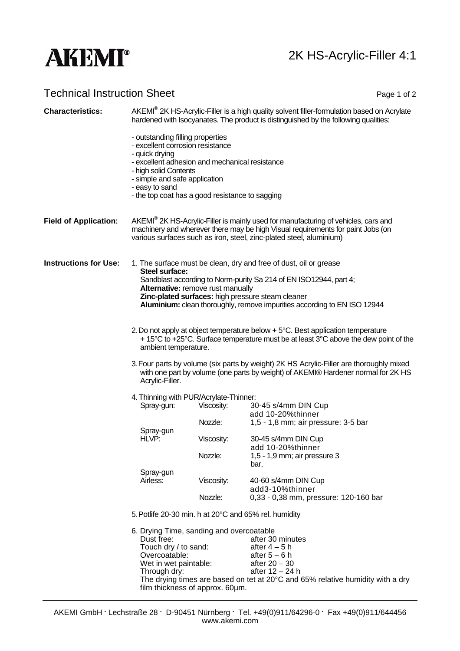## **AKEMI®**

## Technical Instruction Sheet **Page 1 of 2** and 2

| <b>Characteristics:</b>      |                                                                                                                                                                                                                                              | AKEMI® 2K HS-Acrylic-Filler is a high quality solvent filler-formulation based on Acrylate<br>hardened with Isocyanates. The product is distinguished by the following qualities: |                                                                   |  |
|------------------------------|----------------------------------------------------------------------------------------------------------------------------------------------------------------------------------------------------------------------------------------------|-----------------------------------------------------------------------------------------------------------------------------------------------------------------------------------|-------------------------------------------------------------------|--|
|                              | - outstanding filling properties<br>- excellent corrosion resistance<br>- quick drying<br>- excellent adhesion and mechanical resistance<br>- high solid Contents<br>- simple and safe application                                           |                                                                                                                                                                                   |                                                                   |  |
|                              |                                                                                                                                                                                                                                              |                                                                                                                                                                                   |                                                                   |  |
|                              |                                                                                                                                                                                                                                              |                                                                                                                                                                                   |                                                                   |  |
|                              | - easy to sand<br>- the top coat has a good resistance to sagging                                                                                                                                                                            |                                                                                                                                                                                   |                                                                   |  |
|                              |                                                                                                                                                                                                                                              |                                                                                                                                                                                   |                                                                   |  |
| <b>Field of Application:</b> | AKEMI® 2K HS-Acrylic-Filler is mainly used for manufacturing of vehicles, cars and<br>machinery and wherever there may be high Visual requirements for paint Jobs (on<br>various surfaces such as iron, steel, zinc-plated steel, aluminium) |                                                                                                                                                                                   |                                                                   |  |
| <b>Instructions for Use:</b> | Steel surface:                                                                                                                                                                                                                               |                                                                                                                                                                                   | 1. The surface must be clean, dry and free of dust, oil or grease |  |
|                              | Sandblast according to Norm-purity Sa 214 of EN ISO12944, part 4;<br>Alternative: remove rust manually                                                                                                                                       |                                                                                                                                                                                   |                                                                   |  |
|                              | Zinc-plated surfaces: high pressure steam cleaner<br>Aluminium: clean thoroughly, remove impurities according to EN ISO 12944                                                                                                                |                                                                                                                                                                                   |                                                                   |  |
|                              | 2. Do not apply at object temperature below + 5°C. Best application temperature<br>+ 15°C to +25°C. Surface temperature must be at least 3°C above the dew point of the<br>ambient temperature.                                              |                                                                                                                                                                                   |                                                                   |  |
|                              | 3. Four parts by volume (six parts by weight) 2K HS Acrylic-Filler are thoroughly mixed<br>with one part by volume (one parts by weight) of AKEMI® Hardener normal for 2K HS<br>Acrylic-Filler.                                              |                                                                                                                                                                                   |                                                                   |  |
|                              | 4. Thinning with PUR/Acrylate-Thinner:                                                                                                                                                                                                       |                                                                                                                                                                                   |                                                                   |  |
|                              | 30-45 s/4mm DIN Cup<br>Viscosity:<br>Spray-gun:                                                                                                                                                                                              |                                                                                                                                                                                   |                                                                   |  |
|                              | Spray-gun<br>HLVP:                                                                                                                                                                                                                           | Nozzle:                                                                                                                                                                           | add 10-20%thinner<br>1,5 - 1,8 mm; air pressure: 3-5 bar          |  |
|                              |                                                                                                                                                                                                                                              | Viscosity:                                                                                                                                                                        | 30-45 s/4mm DIN Cup                                               |  |
|                              |                                                                                                                                                                                                                                              | Nozzle:                                                                                                                                                                           | add 10-20%thinner<br>1,5 - 1,9 mm; air pressure 3                 |  |
|                              | Spray-gun<br>Airless:                                                                                                                                                                                                                        |                                                                                                                                                                                   | bar,                                                              |  |
|                              |                                                                                                                                                                                                                                              | Viscosity:                                                                                                                                                                        | 40-60 s/4mm DIN Cup<br>add3-10%thinner                            |  |
|                              |                                                                                                                                                                                                                                              | Nozzle:                                                                                                                                                                           | 0,33 - 0,38 mm, pressure: 120-160 bar                             |  |
|                              |                                                                                                                                                                                                                                              | 5. Potlife 20-30 min. h at 20°C and 65% rel. humidity                                                                                                                             |                                                                   |  |
|                              | 6. Drying Time, sanding and overcoatable<br>Dust free:<br>Touch dry / to sand:<br>Overcoatable:<br>Wet in wet paintable:<br>Through dry:                                                                                                     |                                                                                                                                                                                   |                                                                   |  |
|                              |                                                                                                                                                                                                                                              |                                                                                                                                                                                   | after 30 minutes                                                  |  |
|                              |                                                                                                                                                                                                                                              |                                                                                                                                                                                   | after $4-5h$                                                      |  |
|                              |                                                                                                                                                                                                                                              |                                                                                                                                                                                   | after $5-6$ h<br>after $20 - 30$                                  |  |
|                              |                                                                                                                                                                                                                                              |                                                                                                                                                                                   | after 12 - 24 h                                                   |  |
|                              | The drying times are based on tet at 20°C and 65% relative humidity with a dry                                                                                                                                                               |                                                                                                                                                                                   |                                                                   |  |
|                              | film thickness of approx. 60µm.                                                                                                                                                                                                              |                                                                                                                                                                                   |                                                                   |  |